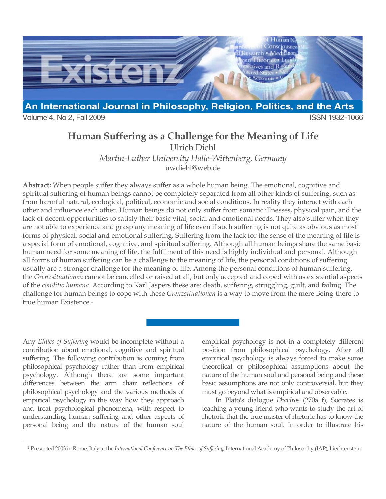

Volume 4, No 2, Fall 2009 **ISSN 1932-1066** 

# **Human Suffering as a Challenge for the Meaning of Life**

Ulrich Diehl

*Martin-Luther University Halle-Wittenberg, Germany* uwdiehl@web.de

**Abstract:** When people suffer they always suffer as a whole human being. The emotional, cognitive and spiritual suffering of human beings cannot be completely separated from all other kinds of suffering, such as from harmful natural, ecological, political, economic and social conditions. In reality they interact with each other and influence each other. Human beings do not only suffer from somatic illnesses, physical pain, and the lack of decent opportunities to satisfy their basic vital, social and emotional needs. They also suffer when they are not able to experience and grasp any meaning of life even if such suffering is not quite as obvious as most forms of physical, social and emotional suffering. Suffering from the lack for the sense of the meaning of life is a special form of emotional, cognitive, and spiritual suffering. Although all human beings share the same basic human need for some meaning of life, the fulfilment of this need is highly individual and personal. Although all forms of human suffering can be a challenge to the meaning of life, the personal conditions of suffering usually are a stronger challenge for the meaning of life. Among the personal conditions of human suffering, the *Grenzsituationen* cannot be cancelled or raised at all, but only accepted and coped with as existential aspects of the *conditio humana*. According to Karl Jaspers these are: death, suffering, struggling, guilt, and failing. The challenge for human beings to cope with these *Grenzsituationen* is a way to move from the mere Being-there to true human Existence.1

Any *Ethics of Suffering* would be incomplete without a contribution about emotional, cognitive and spiritual suffering. The following contribution is coming from philosophical psychology rather than from empirical psychology. Although there are some important differences between the arm chair reflections of philosophical psychology and the various methods of empirical psychology in the way how they approach and treat psychological phenomena, with respect to understanding human suffering and other aspects of personal being and the nature of the human soul

 $\overline{a}$ 

empirical psychology is not in a completely different position from philosophical psychology. After all empirical psychology is always forced to make some theoretical or philosophical assumptions about the nature of the human soul and personal being and these basic assumptions are not only controversial, but they must go beyond what is empirical and observable.

In Plato's dialogue *Phaidros* (270a f), Socrates is teaching a young friend who wants to study the art of rhetoric that the true master of rhetoric has to know the nature of the human soul. In order to illustrate his

<sup>1</sup> Presented 2003 in Rome, Italy at the *International Conference on The Ethics of Suffering*, International Academy of Philosophy (IAP), Liechtenstein.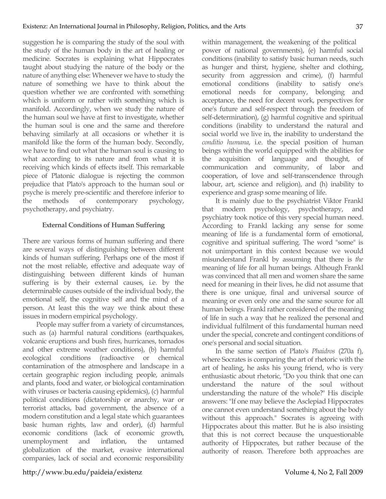suggestion he is comparing the study of the soul with the study of the human body in the art of healing or medicine. Socrates is explaining what Hippocrates taught about studying the nature of the body or the nature of anything else: Whenever we have to study the nature of something we have to think about the question whether we are confronted with something which is uniform or rather with something which is manifold. Accordingly, when we study the nature of the human soul we have at first to investigate, whether the human soul is one and the same and therefore behaving similarly at all occasions or whether it is manifold like the form of the human body. Secondly, we have to find out what the human soul is causing to what according to its nature and from what it is receiving which kinds of effects itself. This remarkable piece of Platonic dialogue is rejecting the common prejudice that Plato's approach to the human soul or psyche is merely pre-scientific and therefore inferior to the methods of contemporary psychology, psychotherapy, and psychiatry.

### **External Conditions of Human Suffering**

There are various forms of human suffering and there are several ways of distinguishing between different kinds of human suffering. Perhaps one of the most if not the most reliable, effective and adequate way of distinguishing between different kinds of human suffering is by their external causes, i.e. by the determinable causes outside of the individual body, the emotional self, the cognitive self and the mind of a person. At least this the way we think about these issues in modern empirical psychology.

People may suffer from a variety of circumstances, such as (a) harmful natural conditions (earthquakes, volcanic eruptions and bush fires, hurricanes, tornados and other extreme weather conditions), (b) harmful ecological conditions (radioactive or chemical contamination of the atmosphere and landscape in a certain geographic region including people, animals and plants, food and water, or biological contamination with viruses or bacteria causing epidemics), (c) harmful political conditions (dictatorship or anarchy, war or terrorist attacks, bad government, the absence of a modern constitution and a legal state which guarantees basic human rights, law and order), (d) harmful economic conditions (lack of economic growth, unemployment and inflation, the untamed globalization of the market, evasive international companies, lack of social and economic responsibility

within management, the weakening of the political power of national governments), (e) harmful social conditions (inability to satisfy basic human needs, such as hunger and thirst, hygiene, shelter and clothing, security from aggression and crime), (f) harmful emotional conditions (inability to satisfy one's emotional needs for company, belonging and acceptance, the need for decent work, perspectives for one's future and self-respect through the freedom of self-determination), (g) harmful cognitive and spiritual conditions (inability to understand the natural and social world we live in, the inability to understand the *conditio humana*, i.e. the special position of human beings within the world equipped with the abilities for the acquisition of language and thought, of communication and community, of labor and cooperation, of love and self-transcendence through labour, art, science and religion), and (h) inability to experience and grasp some meaning of life.

It is mainly due to the psychiatrist Viktor Frankl that modern psychology, psychotherapy, and psychiatry took notice of this very special human need. According to Frankl lacking any sense for some meaning of life is a fundamental form of emotional, cognitive and spiritual suffering. The word "some" is not unimportant in this context because we would misunderstand Frankl by assuming that there is *the*  meaning of life for all human beings. Although Frankl was convinced that all men and women share the same need for meaning in their lives, he did not assume that there is one unique, final and universal source of meaning or even only one and the same source for all human beings. Frankl rather considered of the meaning of life in such a way that he realized the personal and individual fulfilment of this fundamental human need under the special, concrete and contingent conditions of one's personal and social situation.

In the same section of Plato's *Phaidros* (270a f), where Socrates is comparing the art of rhetoric with the art of healing, he asks his young friend, who is very enthusiastic about rhetoric, "Do you think that one can understand the nature of the soul without understanding the nature of the whole?" His disciple answers: "If one may believe the Asclepiad Hippocrates one cannot even understand something about the body without this approach." Socrates is agreeing with Hippocrates about this matter. But he is also insisting that this is not correct because the unquestionable authority of Hippocrates, but rather because of the authority of reason. Therefore both approaches are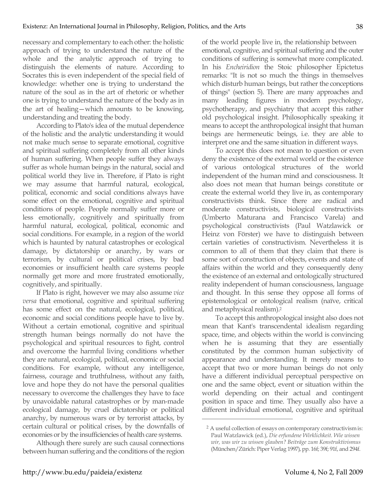necessary and complementary to each other: the holistic approach of trying to understand the nature of the whole and the analytic approach of trying to distinguish the elements of nature. According to Socrates this is even independent of the special field of knowledge: whether one is trying to understand the nature of the soul as in the art of rhetoric or whether one is trying to understand the nature of the body as in the art of healing—which amounts to be knowing, understanding and treating the body.

According to Plato's idea of the mutual dependence of the holistic and the analytic understanding it would not make much sense to separate emotional, cognitive and spiritual suffering completely from all other kinds of human suffering. When people suffer they always suffer as whole human beings in the natural, social and political world they live in. Therefore, if Plato is right we may assume that harmful natural, ecological, political, economic and social conditions always have some effect on the emotional, cognitive and spiritual conditions of people. People normally suffer more or less emotionally, cognitively and spiritually from harmful natural, ecological, political, economic and social conditions. For example, in a region of the world which is haunted by natural catastrophes or ecological damage, by dictatorship or anarchy, by wars or terrorism, by cultural or political crises, by bad economies or insufficient health care systems people normally get more and more frustrated emotionally, cognitively, and spiritually.

If Plato is right, however we may also assume *vice versa* that emotional, cognitive and spiritual suffering has some effect on the natural, ecological, political, economic and social conditions people have to live by. Without a certain emotional, cognitive and spiritual strength human beings normally do not have the psychological and spiritual resources to fight, control and overcome the harmful living conditions whether they are natural, ecological, political, economic or social conditions. For example, without any intelligence, fairness, courage and truthfulness, without any faith, love and hope they do not have the personal qualities necessary to overcome the challenges they have to face by unavoidable natural catastrophes or by man-made ecological damage, by cruel dictatorship or political anarchy, by numerous wars or by terrorist attacks, by certain cultural or political crises, by the downfalls of economies or by the insufficiencies of health care systems.

Although there surely are such causal connections between human suffering and the conditions of the region of the world people live in, the relationship between emotional, cognitive, and spiritual suffering and the outer conditions of suffering is somewhat more complicated. In his *Encheiridion* the Stoic philosopher Epictetus remarks: "It is not so much the things in themselves which disturb human beings, but rather the conceptions of things" (section 5). There are many approaches and many leading figures in modern psychology, psychotherapy, and psychiatry that accept this rather old psychological insight. Philosophically speaking it means to accept the anthropological insight that human beings are hermeneutic beings, i.e. they are able to interpret one and the same situation in different ways.

To accept this does not mean to question or even deny the existence of the external world or the existence of various ontological structures of the world independent of the human mind and consciousness. It also does not mean that human beings constitute or create the external world they live in, as contemporary constructivists think. Since there are radical and moderate constructivists, biological constructivists (Umberto Maturana and Francisco Varela) and psychological constructivists (Paul Watzlawick or Heinz von Förster) we have to distinguish between certain varieties of constructivism. Nevertheless it is common to all of them that they claim that there is some sort of construction of objects, events and state of affairs within the world and they consequently deny the existence of an external and ontologically structured reality independent of human consciousness, language and thought. In this sense they oppose all forms of epistemological or ontological realism (naïve, critical and metaphysical realism).2

To accept this anthropological insight also does not mean that Kant's transcendental idealism regarding space, time, and objects within the world is convincing when he is assuming that they are essentially constituted by the common human subjectivity of appearance and understanding. It merely means to accept that two or more human beings do not only have a different individual perceptual perspective on one and the same object, event or situation within the world depending on their actual and contingent position in space and time. They usually also have a different individual emotional, cognitive and spiritual

<sup>2</sup> A useful collection of essays on contemporary constructivism is: Paul Watzlawick (ed.), *Die erfundene Wirklichkeit. Wie wissen wir, was wir zu wissen glauben? Beiträge zum Konstruktivismus* (München/Zürich: Piper Verlag 1997), pp. 16f; 39f; 91f, and 294f.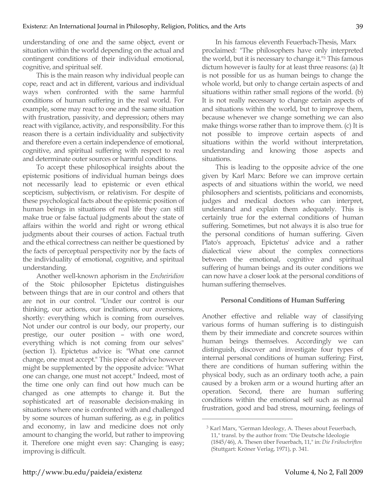understanding of one and the same object, event or situation within the world depending on the actual and contingent conditions of their individual emotional, cognitive, and spiritual self.

This is the main reason why individual people can cope, react and act in different, various and individual ways when confronted with the same harmful conditions of human suffering in the real world. For example, some may react to one and the same situation with frustration, passivity, and depression; others may react with vigilance, activity, and responsibility. For this reason there is a certain individuality and subjectivity and therefore even a certain independence of emotional, cognitive, and spiritual suffering with respect to real and determinate outer sources or harmful conditions.

To accept these philosophical insights about the epistemic positions of individual human beings does not necessarily lead to epistemic or even ethical scepticism, subjectivism, or relativism. For despite of these psychological facts about the epistemic position of human beings in situations of real life they can still make true or false factual judgments about the state of affairs within the world and right or wrong ethical judgments about their courses of action. Factual truth and the ethical correctness can neither be questioned by the facts of perceptual perspectivity nor by the facts of the individuality of emotional, cognitive, and spiritual understanding.

Another well-known aphorism in the *Encheiridion* of the Stoic philosopher Epictetus distinguishes between things that are in our control and others that are not in our control. "Under our control is our thinking, our actions, our inclinations, our aversions, shortly: everything which is coming from ourselves. Not under our control is our body, our property, our prestige, our outer position – with one word, everything which is not coming from our selves" (section 1). Epictetus advice is: "What one cannot change, one must accept." This piece of advice however might be supplemented by the opposite advice: "What one can change, one must not accept." Indeed, most of the time one only can find out how much can be changed as one attempts to change it. But the sophisticated art of reasonable decision-making in situations where one is confronted with and challenged by some sources of human suffering, as e.g. in politics and economy, in law and medicine does not only amount to changing the world, but rather to improving it. Therefore one might even say: Changing is easy; improving is difficult.

In his famous eleventh Feuerbach-Thesis, Marx proclaimed: "The philosophers have only interpreted the world, but it is necessary to change it."3 This famous dictum however is faulty for at least three reasons: (a) It is not possible for us as human beings to change the whole world, but only to change certain aspects of and situations within rather small regions of the world. (b) It is not really necessary to change certain aspects of and situations within the world, but to improve them, because whenever we change something we can also make things worse rather than to improve them. (c) It is not possible to improve certain aspects of and situations within the world without interpretation, understanding and knowing those aspects and situations.

This is leading to the opposite advice of the one given by Karl Marx: Before we can improve certain aspects of and situations within the world, we need philosophers and scientists, politicians and economists, judges and medical doctors who can interpret, understand and explain them adequately. This is certainly true for the external conditions of human suffering. Sometimes, but not always it is also true for the personal conditions of human suffering. Given Plato's approach, Epictetus' advice and a rather dialectical view about the complex connections between the emotional, cognitive and spiritual suffering of human beings and its outer conditions we can now have a closer look at the personal conditions of human suffering themselves.

## **Personal Conditions of Human Suffering**

Another effective and reliable way of classifying various forms of human suffering is to distinguish them by their immediate and concrete sources within human beings themselves. Accordingly we can distinguish, discover and investigate four types of internal personal conditions of human suffering: First, there are conditions of human suffering within the physical body, such as an ordinary tooth ache, a pain caused by a broken arm or a wound hurting after an operation. Second, there are human suffering conditions within the emotional self such as normal frustration, good and bad stress, mourning, feelings of

<sup>3</sup> Karl Marx, "German Ideology, A. Theses about Feuerbach, 11," transl. by the author from: "Die Deutsche Ideologie (1845/46), A. Thesen über Feuerbach, 11," in: *Die Frühschriften* (Stuttgart: Kröner Verlag, 1971), p. 341.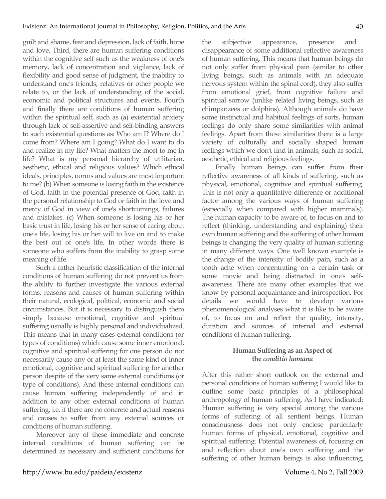guilt and shame, fear and depression, lack of faith, hope and love. Third, there are human suffering conditions within the cognitive self such as the weakness of one's memory, lack of concentration and vigilance, lack of flexibility and good sense of judgment, the inability to understand one's friends, relatives or other people we relate to, or the lack of understanding of the social, economic and political structures and events. Fourth and finally there are conditions of human suffering within the spiritual self, such as (a) existential anxiety through lack of self-assertive and self-binding answers to such existential questions as: Who am I? Where do I come from? Where am I going? What do I want to do and realize in my life? What matters the most to me in life? What is my personal hierarchy of utilitarian, aesthetic, ethical and religious values? Which ethical ideals, principles, norms and values are most important to me? (b) When someone is losing faith in the existence of God, faith in the potential presence of God, faith in the personal relationship to God or faith in the love and mercy of God in view of one's shortcomings, failures and mistakes. (c) When someone is losing his or her basic trust in life, losing his or her sense of caring about one's life, losing his or her will to live on and to make the best out of one's life. In other words there is someone who suffers from the inability to grasp some meaning of life.

Such a rather heuristic classification of the internal conditions of human suffering do not prevent us from the ability to further investigate the various external forms, reasons and causes of human suffering within their natural, ecological, political, economic and social circumstances. But it is necessary to distinguish them simply because emotional, cognitive and spiritual suffering usually is highly personal and individualized. This means that in many cases external conditions (or types of conditions) which cause some inner emotional, cognitive and spiritual suffering for one person do not necessarily cause any or at least the same kind of inner emotional, cognitive and spiritual suffering for another person despite of the very same external conditions (or type of conditions). And these internal conditions can cause human suffering independently of and in addition to any other external conditions of human suffering, i.e. if there are no concrete and actual reasons and causes to suffer from any external sources or conditions of human suffering.

Moreover any of these immediate and concrete internal conditions of human suffering can be determined as necessary and sufficient conditions for

the subjective appearance, presence and disappearance of some additional reflective awareness of human suffering. This means that human beings do not only suffer from physical pain (similar to other living beings, such as animals with an adequate nervous system within the spinal cord), they also suffer from emotional grief, from cognitive failure and spiritual sorrow (unlike related living beings, such as chimpanzees or dolphins). Although animals do have some instinctual and habitual feelings of sorts, human feelings do only share some similarities with animal feelings. Apart from these similarities there is a large variety of culturally and socially shaped human feelings which we don't find in animals, such as social, aesthetic, ethical and religious feelings.

Finally human beings can suffer from their reflective awareness of all kinds of suffering, such as physical, emotional, cognitive and spiritual suffering. This is not only a quantitative difference or additional factor among the various ways of human suffering (especially when compared with higher mammals). The human capacity to be aware of, to focus on and to reflect (thinking, understanding and explaining) their own human suffering and the suffering of other human beings is changing the very quality of human suffering in many different ways. One well known example is the change of the intensity of bodily pain, such as a tooth ache when concentrating on a certain task or some movie and being distracted in one's selfawareness. There are many other examples that we know by personal acquaintance and introspection. For details we would have to develop various phenomenological analyses what it is like to be aware of, to focus on and reflect the quality, intensity, duration and sources of internal and external conditions of human suffering.

# **Human Suffering as an Aspect of the** *conditio humana*

After this rather short outlook on the external and personal conditions of human suffering I would like to outline some basic principles of a philosophical anthropology of human suffering. As I have indicated: Human suffering is very special among the various forms of suffering of all sentient beings. Human consciousness does not only enclose particularly human forms of physical, emotional, cognitive and spiritual suffering. Potential awareness of, focusing on and reflection about one's own suffering and the suffering of other human beings is also influencing,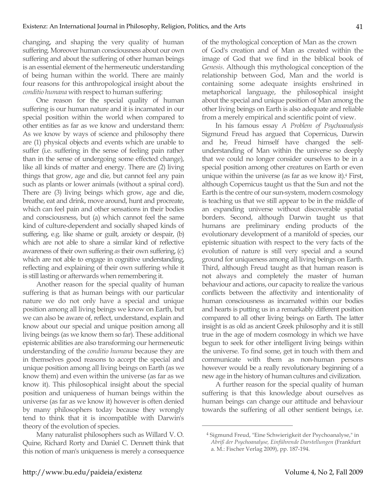changing, and shaping the very quality of human suffering. Moreover human consciousness about our own suffering and about the suffering of other human beings is an essential element of the hermeneutic understanding of being human within the world. There are mainly four reasons for this anthropological insight about the *conditio humana* with respect to human suffering:

One reason for the special quality of human suffering is our human nature and it is incarnated in our special position within the world when compared to other entities as far as we know and understand them: As we know by ways of science and philosophy there are (1) physical objects and events which are unable to suffer (i.e. suffering in the sense of feeling pain rather than in the sense of undergoing some effected change), like all kinds of matter and energy. There are (2) living things that grow, age and die, but cannot feel any pain such as plants or lower animals (without a spinal cord). There are (3) living beings which grow, age and die, breathe, eat and drink, move around, hunt and procreate, which can feel pain and other sensations in their bodies and consciousness, but (a) which cannot feel the same kind of culture-dependent and socially shaped kinds of suffering, e.g. like shame or guilt, anxiety or despair, (b) which are not able to share a similar kind of reflective awareness of their own suffering *as* their own suffering, (c) which are not able to engage in cognitive understanding, reflecting and explaining of their own suffering while it is still lasting or afterwards when remembering it.

Another reason for the special quality of human suffering is that as human beings with our particular nature we do not only have a special and unique position among all living beings we know on Earth, but we can also be aware of, reflect, understand, explain and know about our special and unique position among all living beings (as we know them so far). These additional epistemic abilities are also transforming our hermeneutic understanding of the *conditio humana* because they are in themselves good reasons to accept the special and unique position among all living beings on Earth (as we know them) and even within the universe (as far as we know it). This philosophical insight about the special position and uniqueness of human beings within the universe (as far as we know it) however is often denied by many philosophers today because they wrongly tend to think that it is incompatible with Darwin's theory of the evolution of species.

Many naturalist philosophers such as Willard V. O. Quine, Richard Rorty and Daniel C. Dennett think that this notion of man's uniqueness is merely a consequence of the mythological conception of Man as the crown of God's creation and of Man as created within the image of God that we find in the biblical book of *Genesis*. Although this mythological conception of the relationship between God, Man and the world is containing some adequate insights enshrined in metaphorical language, the philosophical insight about the special and unique position of Man among the other living beings on Earth is also adequate and reliable from a merely empirical and scientific point of view.

In his famous essay *A Problem of Psychoanalysis* Sigmund Freud has argued that Copernicus, Darwin and he, Freud himself have changed the selfunderstanding of Man within the universe so deeply that we could no longer consider ourselves to be in a special position among other creatures on Earth or even unique within the universe (as far as we know it).4 First, although Copernicus taught us that the Sun and not the Earth is the centre of our sun-system, modern cosmology is teaching us that we still appear to be in the middle of an expanding universe without discoverable spatial borders. Second, although Darwin taught us that humans are preliminary ending products of the evolutionary development of a manifold of species, our epistemic situation with respect to the very facts of the evolution of nature is still very special and a sound ground for uniqueness among all living beings on Earth. Third, although Freud taught as that human reason is not always and completely the master of human behaviour and actions, our capacity to realize the various conflicts between the affectivity and intentionality of human consciousness as incarnated within our bodies and hearts is putting us in a remarkably different position compared to all other living beings on Earth. The latter insight is as old as ancient Greek philosophy and it is still true in the age of modern cosmology in which we have begun to seek for other intelligent living beings within the universe. To find some, get in touch with them and communicate with them as non-human persons however would be a really revolutionary beginning of a new age in the history of human cultures and civilization.

A further reason for the special quality of human suffering is that this knowledge about ourselves as human beings can change our attitude and behaviour towards the suffering of all other sentient beings, i.e.

<sup>4</sup> Sigmund Freud, "Eine Schwierigkeit der Psychoanalyse," in *Abriß der Psychoanalyse, Einführende Darstellungen* (Frankfurt a. M.: Fischer Verlag 2009), pp. 187-194.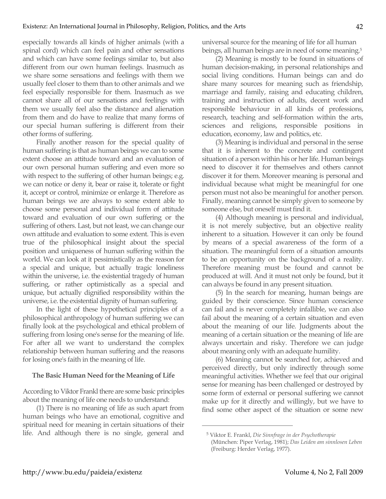especially towards all kinds of higher animals (with a spinal cord) which can feel pain and other sensations and which can have some feelings similar to, but also different from our own human feelings. Inasmuch as we share some sensations and feelings with them we usually feel closer to them than to other animals and we feel especially responsible for them. Inasmuch as we cannot share all of our sensations and feelings with them we usually feel also the distance and alienation from them and do have to realize that many forms of our special human suffering is different from their other forms of suffering.

Finally another reason for the special quality of human suffering is that as human beings we can to some extent choose an attitude toward and an evaluation of our own personal human suffering and even more so with respect to the suffering of other human beings; e.g. we can notice or deny it, bear or raise it, tolerate or fight it, accept or control, minimize or enlarge it. Therefore as human beings we are always to some extent able to choose some personal and individual form of attitude toward and evaluation of our own suffering or the suffering of others. Last, but not least, we can change our own attitude and evaluation to some extent. This is even true of the philosophical insight about the special position and uniqueness of human suffering within the world. We can look at it pessimistically as the reason for a special and unique, but actually tragic loneliness within the universe, i.e. the existential tragedy of human suffering, or rather optimistically as a special and unique, but actually dignified responsibility within the universe, i.e. the existential dignity of human suffering.

In the light of these hypothetical principles of a philosophical anthropology of human suffering we can finally look at the psychological and ethical problem of suffering from losing one's sense for the meaning of life. For after all we want to understand the complex relationship between human suffering and the reasons for losing one's faith in the meaning of life.

#### **The Basic Human Need for the Meaning of Life**

According to Viktor Frankl there are some basic principles about the meaning of life one needs to understand:

(1) There is no meaning of life as such apart from human beings who have an emotional, cognitive and spiritual need for meaning in certain situations of their life. And although there is no single, general and

universal source for the meaning of life for all human beings, all human beings are in need of some meaning.5

(2) Meaning is mostly to be found in situations of human decision-making, in personal relationships and social living conditions. Human beings can and do share many sources for meaning such as friendship, marriage and family, raising and educating children, training and instruction of adults, decent work and responsible behaviour in all kinds of professions, research, teaching and self-formation within the arts, sciences and religions, responsible positions in education, economy, law and politics, etc.

(3) Meaning is individual and personal in the sense that it is inherent to the concrete and contingent situation of a person within his or her life. Human beings need to discover it for themselves and others cannot discover it for them. Moreover meaning is personal and individual because what might be meaningful for one person must not also be meaningful for another person. Finally, meaning cannot be simply given to someone by someone else, but oneself must find it.

(4) Although meaning is personal and individual, it is not merely subjective, but an objective reality inherent to a situation. However it can only be found by means of a special awareness of the form of a situation. The meaningful form of a situation amounts to be an opportunity on the background of a reality. Therefore meaning must be found and cannot be produced at will. And it must not only be found, but it can always be found in any present situation.

(5) In the search for meaning, human beings are guided by their conscience. Since human conscience can fail and is never completely infallible, we can also fail about the meaning of a certain situation and even about the meaning of our life. Judgments about the meaning of a certain situation or the meaning of life are always uncertain and risky. Therefore we can judge about meaning only with an adequate humility.

(6) Meaning cannot be searched for, achieved and perceived directly, but only indirectly through some meaningful activities. Whether we feel that our original sense for meaning has been challenged or destroyed by some form of external or personal suffering we cannot make up for it directly and willingly, but we have to find some other aspect of the situation or some new

<sup>5</sup> Viktor E. Frankl, *Die Sinnfrage in der Psychotherapie* (München: Piper Verlag, 1981); *Das Leiden am sinnlosen Leben* (Freiburg: Herder Verlag, 1977).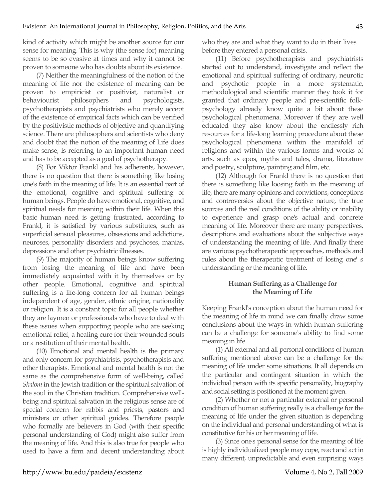kind of activity which might be another source for our sense for meaning. This is why (the sense for) meaning seems to be so evasive at times and why it cannot be proven to someone who has doubts about its existence.

(7) Neither the meaningfulness of the notion of the meaning of life nor the existence of meaning can be proven to empiricist or positivist, naturalist or behaviourist philosophers and psychologists, psychotherapists and psychiatrists who merely accept of the existence of empirical facts which can be verified by the positivistic methods of objective and quantifying science. There are philosophers and scientists who deny and doubt that the notion of the meaning of Life does make sense, is referring to an important human need and has to be accepted as a goal of psychotherapy.

(8) For Viktor Frankl and his adherents, however, there is no question that there is something like losing one's faith in the meaning of life. It is an essential part of the emotional, cognitive and spiritual suffering of human beings. People do have emotional, cognitive, and spiritual needs for meaning within their life. When this basic human need is getting frustrated, according to Frankl, it is satisfied by various substitutes, such as superficial sensual pleasures, obsessions and addictions, neuroses, personality disorders and psychoses, manias, depressions and other psychiatric illnesses.

(9) The majority of human beings know suffering from losing the meaning of life and have been immediately acquainted with it by themselves or by other people. Emotional, cognitive and spiritual suffering is a life-long concern for all human beings independent of age, gender, ethnic origine, nationality or religion. It is a constant topic for all people whether they are laymen or professionals who have to deal with these issues when supporting people who are seeking emotional relief, a healing cure for their wounded souls or a restitution of their mental health.

(10) Emotional and mental health is the primary and only concern for psychiatrists, psychotherapists and other therapists. Emotional and mental health is not the same as the comprehensive form of well-being, called *Shalom* in the Jewish tradition or the spiritual salvation of the soul in the Christian tradition. Comprehensive wellbeing and spiritual salvation in the religious sense are of special concern for rabbis and priests, pastors and ministers or other spiritual guides. Therefore people who formally are believers in God (with their specific personal understanding of God) might also suffer from the meaning of life. And this is also true for people who used to have a firm and decent understanding about who they are and what they want to do in their lives before they entered a personal crisis.

(11) Before psychotherapists and psychiatrists started out to understand, investigate and reflect the emotional and spiritual suffering of ordinary, neurotic and psychotic people in a more systematic, methodological and scientific manner they took it for granted that ordinary people and pre-scientific folkpsychology already know quite a bit about these psychological phenomena. Moreover if they are well educated they also know about the endlessly rich resources for a life-long learning procedure about these psychological phenomena within the manifold of religions and within the various forms and works of arts, such as epos, myths and tales, drama, literature and poetry, sculpture, painting and film, etc.

(12) Although for Frankl there is no question that there is something like loosing faith in the meaning of life, there are many opinions and convictions, conceptions and controversies about the objective nature, the true sources and the real conditions of the ability or inability to experience and grasp one's actual and concrete meaning of life. Moreover there are many perspectives, descriptions and evaluations about the subjective ways of understanding the meaning of life. And finally there are various psychotherapeutic approaches, methods and rules about the therapeutic treatment of losing one' s understanding or the meaning of life.

## **Human Suffering as a Challenge for the Meaning of Life**

Keeping Frankl's conception about the human need for the meaning of life in mind we can finally draw some conclusions about the ways in which human suffering can be a challenge for someone's ability to find some meaning in life.

(1) All external and all personal conditions of human suffering mentioned above can be a challenge for the meaning of life under some situations. It all depends on the particular and contingent situation in which the individual person with its specific personality, biography and social setting is positioned at the moment given.

(2) Whether or not a particular external or personal condition of human suffering really is a challenge for the meaning of life under the given situation is depending on the individual and personal understanding of what is constitutive for his or her meaning of life.

(3) Since one's personal sense for the meaning of life is highly individualized people may cope, react and act in many different, unpredictable and even surprising ways